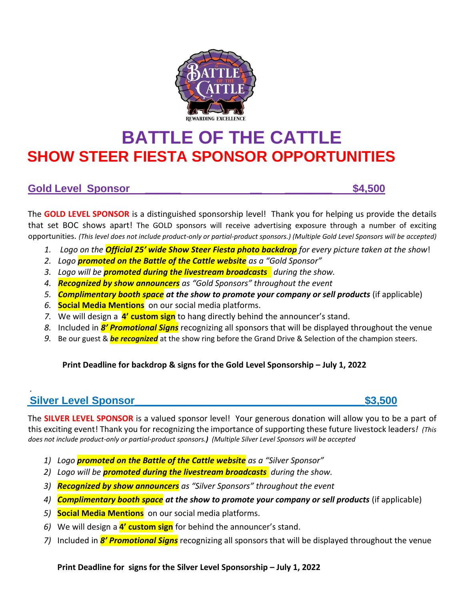

# **BATTLE OF THE CATTLE SHOW STEER FIESTA SPONSOR OPPORTUNITIES**

### **Gold Level Sponsor \_\_\_\_\_\_ \_\_ \_\_\_\_\_\_\_\_ \$4,500**

The **GOLD LEVEL SPONSOR** is a distinguished sponsorship level! Thank you for helping us provide the details that set BOC shows apart! The GOLD sponsors will receive advertising exposure through a number of exciting opportunities. *(This level does not include product-only or partial-product sponsors.) (Multiple Gold Level Sponsors will be accepted)*

- *1. Logo on the Official 25' wide Show Steer Fiesta photo backdrop for every picture taken at the show*!
- *2. Logo promoted on the Battle of the Cattle website as a "Gold Sponsor"*
- *3. Logo will be promoted during the livestream broadcasts during the show.*
- *4. Recognized by show announcers as "Gold Sponsors" throughout the event*
- *5. Complimentary booth space at the show to promote your company or sell products* (if applicable)
- *6.* **Social Media Mentions** on our social media platforms.
- *7.* We will design a **4' custom sign** to hang directly behind the announcer's stand.
- *8.* Included in *8' Promotional Signs* recognizing all sponsors that will be displayed throughout the venue
- *9.* Be our guest & *be recognized* at the show ring before the Grand Drive & Selection of the champion steers.

### **Print Deadline for backdrop & signs for the Gold Level Sponsorship – July 1, 2022**

### *.*  **Silver Level Sponsor\_\_\_\_\_\_\_\_\_\_\_\_\_\_\_\_\_\_\_\_\_\_\_\_\_\_\_\_\_\_\_\_\_\_\_\_\_\_\_\$3,500**

The **SILVER LEVEL SPONSOR** is a valued sponsor level! Your generous donation will allow you to be a part of this exciting event! Thank you for recognizing the importance of supporting these future livestock leaders*! (This does not include product-only or partial-product sponsors.) (Multiple Silver Level Sponsors will be accepted*

- *1) Logo promoted on the Battle of the Cattle website as a "Silver Sponsor"*
- *2) Logo will be promoted during the livestream broadcasts during the show.*
- *3) Recognized by show announcers as "Silver Sponsors" throughout the event*
- *4) Complimentary booth space at the show to promote your company or sell products* (if applicable)
- *5)* **Social Media Mentions** on our social media platforms.
- *6)* We will design a **4' custom sign** for behind the announcer's stand.
- *7)* Included in *8' Promotional Signs* recognizing all sponsors that will be displayed throughout the venue

**Print Deadline for signs for the Silver Level Sponsorship – July 1, 2022**

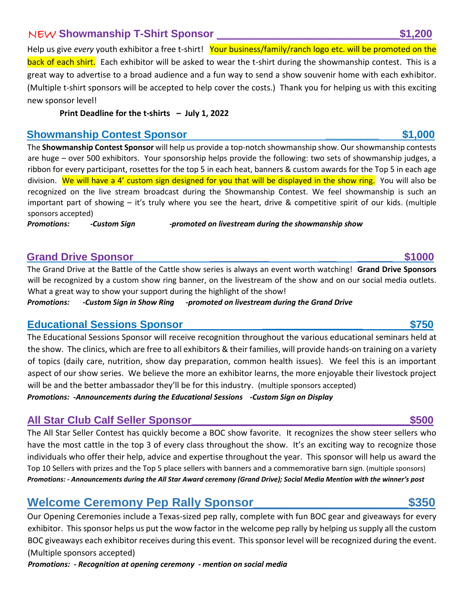## NEW **Showmanship T-Shirt Sponsor \_\_\_\_\_\_\_\_\_\_\_\_\_\_\_\_\_\_\_\_\_\_\_\_\_\_\_\_\_\_\_\$1,200**

Help us give *every* youth exhibitor a free t-shirt! Your business/family/ranch logo etc. will be promoted on the back of each shirt. Each exhibitor will be asked to wear the t-shirt during the showmanship contest. This is a great way to advertise to a broad audience and a fun way to send a show souvenir home with each exhibitor. (Multiple t-shirt sponsors will be accepted to help cover the costs.) Thank you for helping us with this exciting new sponsor level!

**Print Deadline for the t-shirts – July 1, 2022**

### **Showmanship Contest Sponsor \_\_\_\_\_\_\_\_\_ \$1,000**

The **Showmanship Contest Sponsor** will help us provide a top-notch showmanship show. Our showmanship contests are huge – over 500 exhibitors. Your sponsorship helps provide the following: two sets of showmanship judges, a ribbon for every participant, rosettes for the top 5 in each heat, banners & custom awards for the Top 5 in each age division. We will have a 4' custom sign designed for you that will be displayed in the show ring. You will also be recognized on the live stream broadcast during the Showmanship Contest. We feel showmanship is such an important part of showing – it's truly where you see the heart, drive & competitive spirit of our kids. (multiple sponsors accepted)

*Promotions: -Custom Sign -promoted on livestream during the showmanship show*

### **Grand Drive Sponsor Grand Drive Sponsor**

The Grand Drive at the Battle of the Cattle show series is always an event worth watching! **Grand Drive Sponsors**  will be recognized by a custom show ring banner, on the livestream of the show and on our social media outlets. What a great way to show your support during the highlight of the show!

*Promotions: -Custom Sign in Show Ring -promoted on livestream during the Grand Drive*

### **Educational Sessions Sponsor \_\_\_\_\_\_\_\_\_\_\_\_\_\_\_\_\_ \$750**

The Educational Sessions Sponsor will receive recognition throughout the various educational seminars held at the show. The clinics, which are free to all exhibitors & their families, will provide hands-on training on a variety of topics (daily care, nutrition, show day preparation, common health issues). We feel this is an important aspect of our show series. We believe the more an exhibitor learns, the more enjoyable their livestock project will be and the better ambassador they'll be for this industry. (multiple sponsors accepted)

*Promotions: -Announcements during the Educational Sessions -Custom Sign on Display*

## **All Star Club Calf Seller Sponsor\_\_\_\_\_\_\_\_\_\_\_\_\_\_\_\_\_\_\_\_\_\_\_\_\_\_\_\_\_\_\_\_\_\_\_\_\_\$500**

The All Star Seller Contest has quickly become a BOC show favorite. It recognizes the show steer sellers who have the most cattle in the top 3 of every class throughout the show. It's an exciting way to recognize those individuals who offer their help, advice and expertise throughout the year. This sponsor will help us award the Top 10 Sellers with prizes and the Top 5 place sellers with banners and a commemorative barn sign. (multiple sponsors) *Promotions: - Announcements during the All Star Award ceremony (Grand Drive); Social Media Mention with the winner's post*

# **Welcome Ceremony Pep Rally Sponsor\_\_\_\_\_\_\_\_\_\_\_\_\_\_\_\_\_\_\_\_\_\_\_\$350**

Our Opening Ceremonies include a Texas-sized pep rally, complete with fun BOC gear and giveaways for every exhibitor. This sponsor helps us put the wow factor in the welcome pep rally by helping us supply all the custom BOC giveaways each exhibitor receives during this event. This sponsor level will be recognized during the event. (Multiple sponsors accepted)

*Promotions: - Recognition at opening ceremony - mention on social media*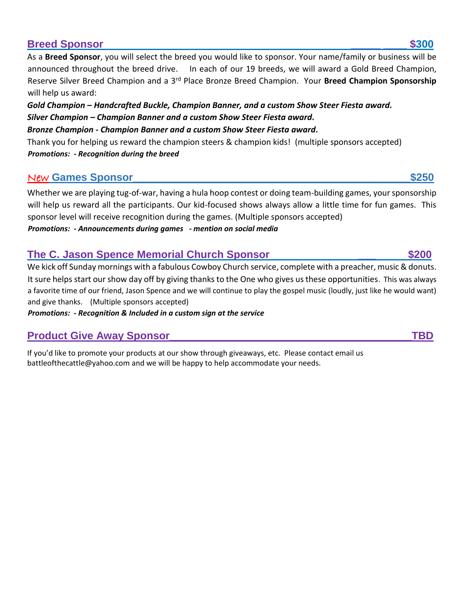### **Breed Sponsor \_\_\_\_\_ \_\_\_\_ \$300**

As a **Breed Sponsor**, you will select the breed you would like to sponsor. Your name/family or business will be announced throughout the breed drive. In each of our 19 breeds, we will award a Gold Breed Champion, Reserve Silver Breed Champion and a 3rd Place Bronze Breed Champion. Your **Breed Champion Sponsorship** will help us award:

*Gold Champion – Handcrafted Buckle, Champion Banner, and a custom Show Steer Fiesta award. Silver Champion – Champion Banner and a custom Show Steer Fiesta award. Bronze Champion - Champion Banner and a custom Show Steer Fiesta award.* 

Thank you for helping us reward the champion steers & champion kids! (multiple sponsors accepted) *Promotions: - Recognition during the breed* 

## New **Games Sponsor\_\_\_\_\_\_\_\_\_\_\_\_\_\_\_\_\_\_\_\_\_\_\_\_\_\_\_\_\_\_\_\_\_\_\_\_\_\_\_\_\_\_\_\_\_\_\_\$250**

Whether we are playing tug-of-war, having a hula hoop contest or doing team-building games, your sponsorship will help us reward all the participants. Our kid-focused shows always allow a little time for fun games. This sponsor level will receive recognition during the games. (Multiple sponsors accepted) *Promotions: - Announcements during games - mention on social media* 

### **The C. Jason Spence Memorial Church Sponsor**  $\sim$  **\$200**

We kick off Sunday mornings with a fabulous Cowboy Church service, complete with a preacher, music & donuts. It sure helps start our show day off by giving thanks to the One who gives us these opportunities. This was always a favorite time of our friend, Jason Spence and we will continue to play the gospel music (loudly, just like he would want) and give thanks. (Multiple sponsors accepted)

*Promotions: - Recognition & Included in a custom sign at the service* 

## **Product Give Away Sponsor\_\_\_\_\_\_\_\_\_\_\_\_\_\_\_\_\_\_\_\_\_\_\_\_\_\_\_\_\_\_\_\_\_\_\_\_\_\_\_\_\_TBD**

If you'd like to promote your products at our show through giveaways, etc. Please contact email us [battleofthecattle@yahoo.com](mailto:battleofthecattle@yahoo.com) and we will be happy to help accommodate your needs.